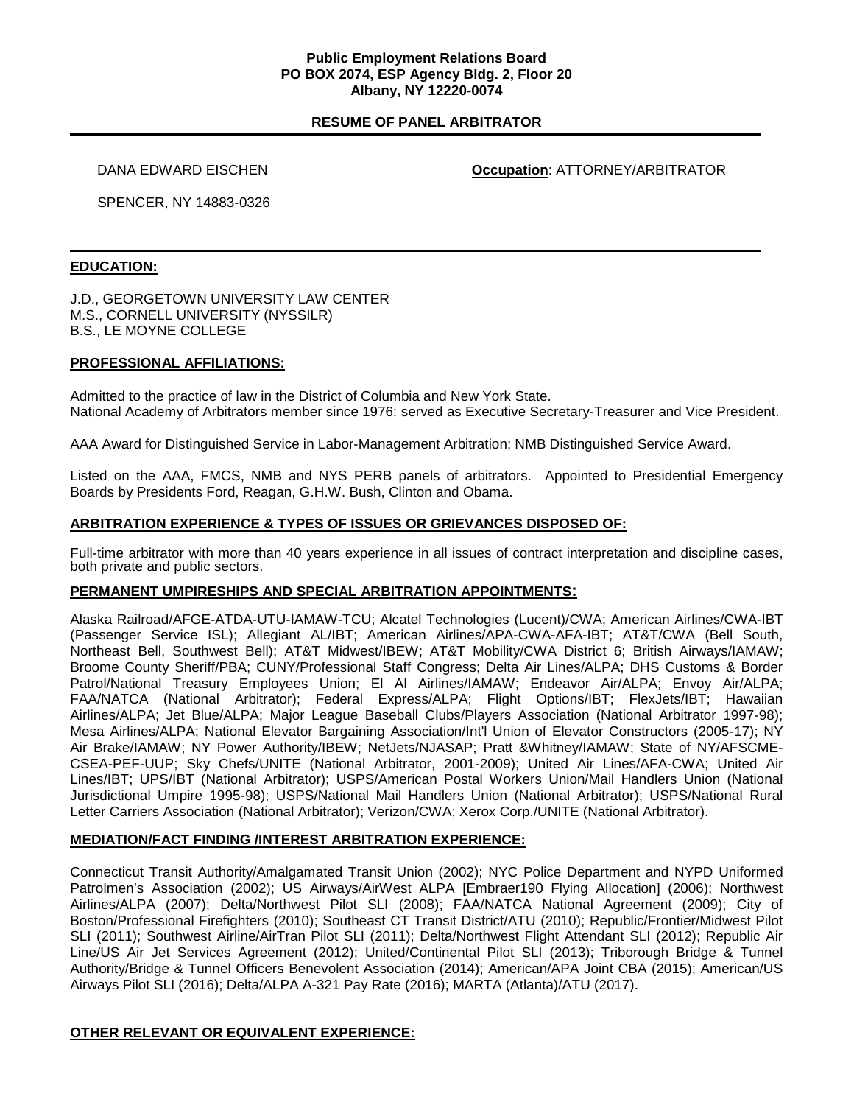## **Public Employment Relations Board PO BOX 2074, ESP Agency Bldg. 2, Floor 20 Albany, NY 12220-0074**

# **RESUME OF PANEL ARBITRATOR**

DANA EDWARD EISCHEN **Occupation**: ATTORNEY/ARBITRATOR

SPENCER, NY 14883-0326

#### **EDUCATION:**

J.D., GEORGETOWN UNIVERSITY LAW CENTER M.S., CORNELL UNIVERSITY (NYSSILR) B.S., LE MOYNE COLLEGE

#### **PROFESSIONAL AFFILIATIONS:**

Admitted to the practice of law in the District of Columbia and New York State. National Academy of Arbitrators member since 1976: served as Executive Secretary-Treasurer and Vice President.

AAA Award for Distinguished Service in Labor-Management Arbitration; NMB Distinguished Service Award.

Listed on the AAA, FMCS, NMB and NYS PERB panels of arbitrators. Appointed to Presidential Emergency Boards by Presidents Ford, Reagan, G.H.W. Bush, Clinton and Obama.

## **ARBITRATION EXPERIENCE & TYPES OF ISSUES OR GRIEVANCES DISPOSED OF:**

Full-time arbitrator with more than 40 years experience in all issues of contract interpretation and discipline cases, both private and public sectors.

## **PERMANENT UMPIRESHIPS AND SPECIAL ARBITRATION APPOINTMENTS:**

Alaska Railroad/AFGE-ATDA-UTU-IAMAW-TCU; Alcatel Technologies (Lucent)/CWA; American Airlines/CWA-IBT (Passenger Service ISL); Allegiant AL/IBT; American Airlines/APA-CWA-AFA-IBT; AT&T/CWA (Bell South, Northeast Bell, Southwest Bell); AT&T Midwest/IBEW; AT&T Mobility/CWA District 6; British Airways/IAMAW; Broome County Sheriff/PBA; CUNY/Professional Staff Congress; Delta Air Lines/ALPA; DHS Customs & Border Patrol/National Treasury Employees Union; El Al Airlines/IAMAW; Endeavor Air/ALPA; Envoy Air/ALPA; FAA/NATCA (National Arbitrator); Federal Express/ALPA; Flight Options/IBT; FlexJets/IBT; Hawaiian Airlines/ALPA; Jet Blue/ALPA; Major League Baseball Clubs/Players Association (National Arbitrator 1997-98); Mesa Airlines/ALPA; National Elevator Bargaining Association/Int'l Union of Elevator Constructors (2005-17); NY Air Brake/IAMAW; NY Power Authority/IBEW; NetJets/NJASAP; Pratt &Whitney/IAMAW; State of NY/AFSCME-CSEA-PEF-UUP; Sky Chefs/UNITE (National Arbitrator, 2001-2009); United Air Lines/AFA-CWA; United Air Lines/IBT; UPS/IBT (National Arbitrator); USPS/American Postal Workers Union/Mail Handlers Union (National Jurisdictional Umpire 1995-98); USPS/National Mail Handlers Union (National Arbitrator); USPS/National Rural Letter Carriers Association (National Arbitrator); Verizon/CWA; Xerox Corp./UNITE (National Arbitrator).

## **MEDIATION/FACT FINDING /INTEREST ARBITRATION EXPERIENCE:**

Connecticut Transit Authority/Amalgamated Transit Union (2002); NYC Police Department and NYPD Uniformed Patrolmen's Association (2002); US Airways/AirWest ALPA [Embraer190 Flying Allocation] (2006); Northwest Airlines/ALPA (2007); Delta/Northwest Pilot SLI (2008); FAA/NATCA National Agreement (2009); City of Boston/Professional Firefighters (2010); Southeast CT Transit District/ATU (2010); Republic/Frontier/Midwest Pilot SLI (2011); Southwest Airline/AirTran Pilot SLI (2011); Delta/Northwest Flight Attendant SLI (2012); Republic Air Line/US Air Jet Services Agreement (2012); United/Continental Pilot SLI (2013); Triborough Bridge & Tunnel Authority/Bridge & Tunnel Officers Benevolent Association (2014); American/APA Joint CBA (2015); American/US Airways Pilot SLI (2016); Delta/ALPA A-321 Pay Rate (2016); MARTA (Atlanta)/ATU (2017).

## **OTHER RELEVANT OR EQUIVALENT EXPERIENCE:**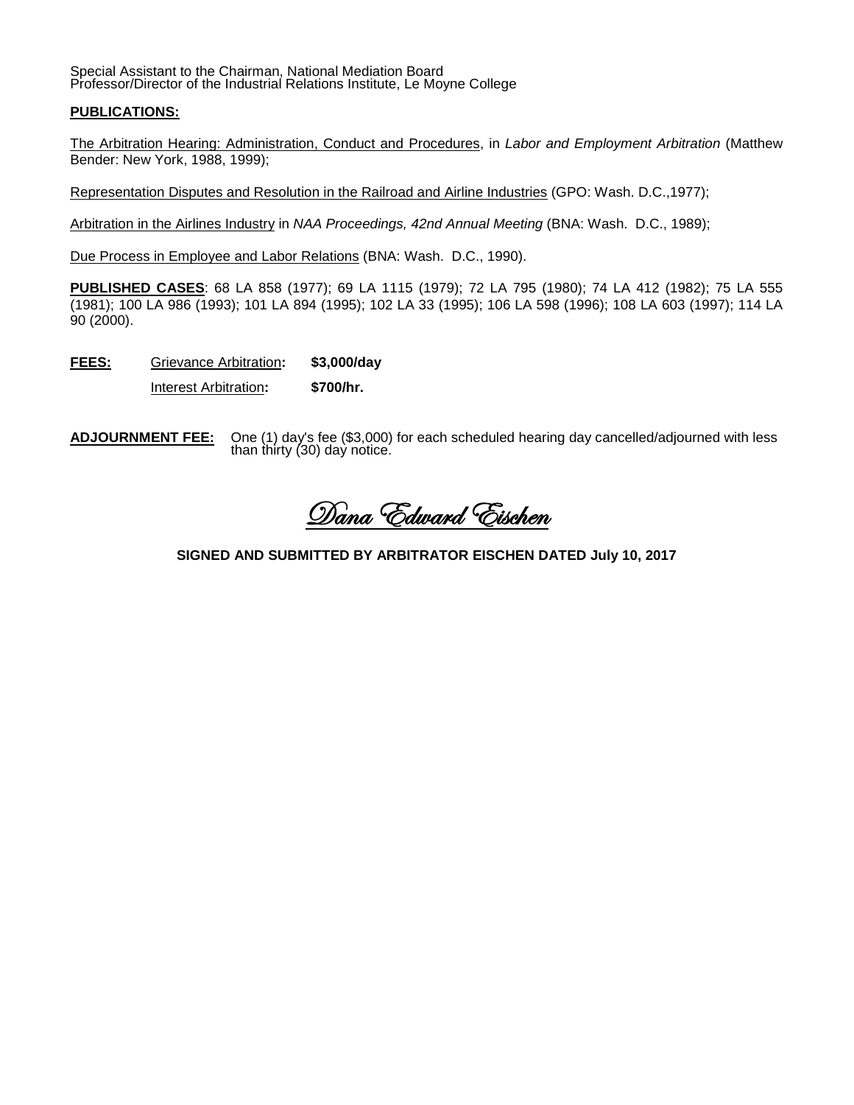Special Assistant to the Chairman, National Mediation Board Professor/Director of the Industrial Relations Institute, Le Moyne College

## **PUBLICATIONS:**

The Arbitration Hearing: Administration, Conduct and Procedures, in *Labor and Employment Arbitration* (Matthew Bender: New York, 1988, 1999);

Representation Disputes and Resolution in the Railroad and Airline Industries (GPO: Wash. D.C.,1977);

Arbitration in the Airlines Industry in *NAA Proceedings, 42nd Annual Meeting* (BNA: Wash. D.C., 1989);

Due Process in Employee and Labor Relations (BNA: Wash. D.C., 1990).

**PUBLISHED CASES**: 68 LA 858 (1977); 69 LA 1115 (1979); 72 LA 795 (1980); 74 LA 412 (1982); 75 LA 555 (1981); 100 LA 986 (1993); 101 LA 894 (1995); 102 LA 33 (1995); 106 LA 598 (1996); 108 LA 603 (1997); 114 LA 90 (2000).

**FEES:** Grievance Arbitration**: \$3,000/day**

Interest Arbitration**: \$700/hr.**

**ADJOURNMENT FEE:** One (1) day's fee (\$3,000) for each scheduled hearing day cancelled/adjourned with less than thirty (30) day notice.

Dana Edward Eischen

**SIGNED AND SUBMITTED BY ARBITRATOR EISCHEN DATED July 10, 2017**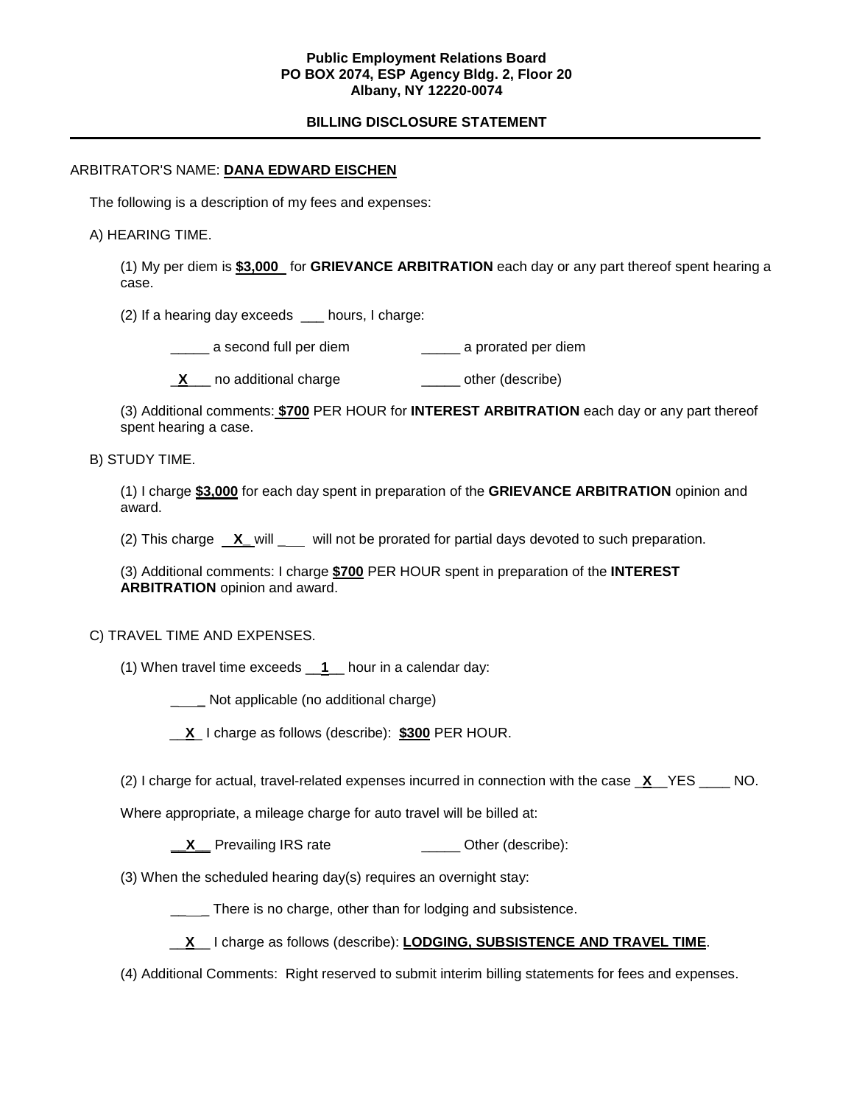## **Public Employment Relations Board PO BOX 2074, ESP Agency Bldg. 2, Floor 20 Albany, NY 12220-0074**

# **BILLING DISCLOSURE STATEMENT**

#### ARBITRATOR'S NAME: **DANA EDWARD EISCHEN**

The following is a description of my fees and expenses:

#### A) HEARING TIME.

(1) My per diem is **\$3,000** for **GRIEVANCE ARBITRATION** each day or any part thereof spent hearing a case.

(2) If a hearing day exceeds \_\_\_ hours, I charge:

\_\_\_\_\_ a second full per diem \_\_\_\_\_ a prorated per diem

**X** no additional charge **a** and  $\overline{X}$  other (describe)

(3) Additional comments: **\$700** PER HOUR for **INTEREST ARBITRATION** each day or any part thereof spent hearing a case.

#### B) STUDY TIME.

(1) I charge **\$3,000** for each day spent in preparation of the **GRIEVANCE ARBITRATION** opinion and award.

(2) This charge **X\_** will \_ will not be prorated for partial days devoted to such preparation.

(3) Additional comments: I charge **\$700** PER HOUR spent in preparation of the **INTEREST ARBITRATION** opinion and award.

## C) TRAVEL TIME AND EXPENSES.

(1) When travel time exceeds \_\_**1**\_\_ hour in a calendar day:

\_ **\_** Not applicable (no additional charge)

\_\_**X**\_ I charge as follows (describe): **\$300** PER HOUR.

(2) I charge for actual, travel-related expenses incurred in connection with the case \_**X**\_\_YES \_\_\_\_ NO.

Where appropriate, a mileage charge for auto travel will be billed at:

**X** Prevailing IRS rate **\_\_\_\_** Other (describe):

(3) When the scheduled hearing day(s) requires an overnight stay:

\_\_\_\_ There is no charge, other than for lodging and subsistence.

\_\_**X**\_\_ I charge as follows (describe): **LODGING, SUBSISTENCE AND TRAVEL TIME**.

(4) Additional Comments: Right reserved to submit interim billing statements for fees and expenses.